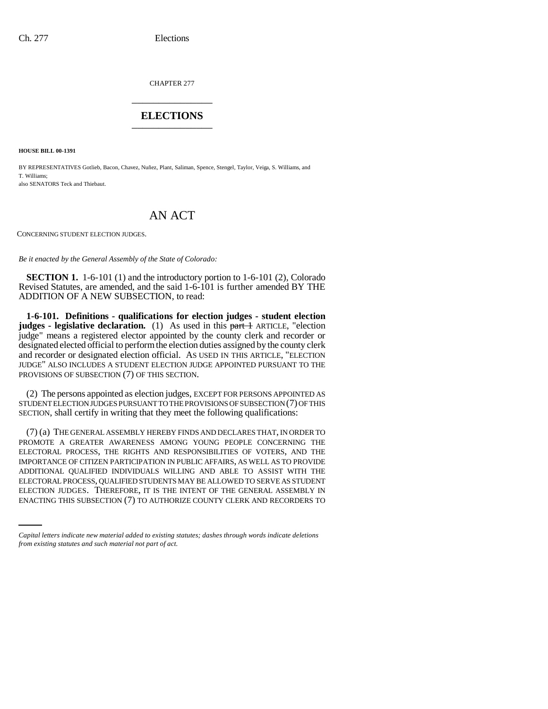CHAPTER 277 \_\_\_\_\_\_\_\_\_\_\_\_\_\_\_

## **ELECTIONS** \_\_\_\_\_\_\_\_\_\_\_\_\_\_\_

**HOUSE BILL 00-1391** 

BY REPRESENTATIVES Gotlieb, Bacon, Chavez, Nuñez, Plant, Saliman, Spence, Stengel, Taylor, Veiga, S. Williams, and T. Williams; also SENATORS Teck and Thiebaut.

## AN ACT

CONCERNING STUDENT ELECTION JUDGES.

*Be it enacted by the General Assembly of the State of Colorado:*

**SECTION 1.** 1-6-101 (1) and the introductory portion to 1-6-101 (2), Colorado Revised Statutes, are amended, and the said 1-6-101 is further amended BY THE ADDITION OF A NEW SUBSECTION, to read:

**1-6-101. Definitions - qualifications for election judges - student election judges - legislative declaration.** (1) As used in this part + ARTICLE, "election judge" means a registered elector appointed by the county clerk and recorder or designated elected official to perform the election duties assigned by the county clerk and recorder or designated election official. AS USED IN THIS ARTICLE, "ELECTION JUDGE" ALSO INCLUDES A STUDENT ELECTION JUDGE APPOINTED PURSUANT TO THE PROVISIONS OF SUBSECTION (7) OF THIS SECTION.

(2) The persons appointed as election judges, EXCEPT FOR PERSONS APPOINTED AS STUDENT ELECTION JUDGES PURSUANT TO THE PROVISIONS OF SUBSECTION (7) OF THIS SECTION, shall certify in writing that they meet the following qualifications:

ELECTORAL PROCESS, QUALIFIED STUDENTS MAY BE ALLOWED TO SERVE AS STUDENT (7) (a) THE GENERAL ASSEMBLY HEREBY FINDS AND DECLARES THAT, IN ORDER TO PROMOTE A GREATER AWARENESS AMONG YOUNG PEOPLE CONCERNING THE ELECTORAL PROCESS, THE RIGHTS AND RESPONSIBILITIES OF VOTERS, AND THE IMPORTANCE OF CITIZEN PARTICIPATION IN PUBLIC AFFAIRS, AS WELL AS TO PROVIDE ADDITIONAL QUALIFIED INDIVIDUALS WILLING AND ABLE TO ASSIST WITH THE ELECTION JUDGES. THEREFORE, IT IS THE INTENT OF THE GENERAL ASSEMBLY IN ENACTING THIS SUBSECTION (7) TO AUTHORIZE COUNTY CLERK AND RECORDERS TO

*Capital letters indicate new material added to existing statutes; dashes through words indicate deletions from existing statutes and such material not part of act.*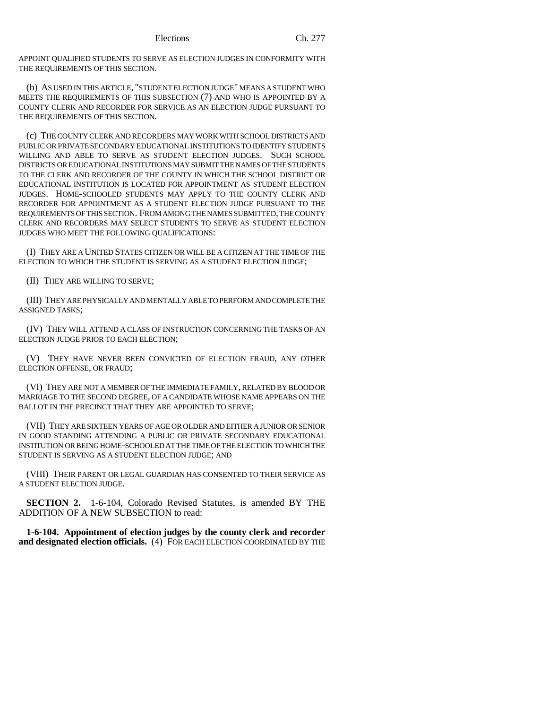APPOINT QUALIFIED STUDENTS TO SERVE AS ELECTION JUDGES IN CONFORMITY WITH THE REQUIREMENTS OF THIS SECTION.

(b) AS USED IN THIS ARTICLE, "STUDENT ELECTION JUDGE" MEANS A STUDENT WHO MEETS THE REQUIREMENTS OF THIS SUBSECTION (7) AND WHO IS APPOINTED BY A COUNTY CLERK AND RECORDER FOR SERVICE AS AN ELECTION JUDGE PURSUANT TO THE REQUIREMENTS OF THIS SECTION.

(c) THE COUNTY CLERK AND RECORDERS MAY WORK WITH SCHOOL DISTRICTS AND PUBLIC OR PRIVATE SECONDARY EDUCATIONAL INSTITUTIONS TO IDENTIFY STUDENTS WILLING AND ABLE TO SERVE AS STUDENT ELECTION JUDGES. SUCH SCHOOL DISTRICTS OR EDUCATIONAL INSTITUTIONS MAY SUBMIT THE NAMES OF THE STUDENTS TO THE CLERK AND RECORDER OF THE COUNTY IN WHICH THE SCHOOL DISTRICT OR EDUCATIONAL INSTITUTION IS LOCATED FOR APPOINTMENT AS STUDENT ELECTION JUDGES. HOME-SCHOOLED STUDENTS MAY APPLY TO THE COUNTY CLERK AND RECORDER FOR APPOINTMENT AS A STUDENT ELECTION JUDGE PURSUANT TO THE REQUIREMENTS OF THIS SECTION. FROM AMONG THE NAMES SUBMITTED, THE COUNTY CLERK AND RECORDERS MAY SELECT STUDENTS TO SERVE AS STUDENT ELECTION JUDGES WHO MEET THE FOLLOWING QUALIFICATIONS:

(I) THEY ARE A UNITED STATES CITIZEN OR WILL BE A CITIZEN AT THE TIME OF THE ELECTION TO WHICH THE STUDENT IS SERVING AS A STUDENT ELECTION JUDGE;

(II) THEY ARE WILLING TO SERVE;

(III) THEY ARE PHYSICALLY AND MENTALLY ABLE TO PERFORM AND COMPLETE THE ASSIGNED TASKS;

(IV) THEY WILL ATTEND A CLASS OF INSTRUCTION CONCERNING THE TASKS OF AN ELECTION JUDGE PRIOR TO EACH ELECTION;

(V) THEY HAVE NEVER BEEN CONVICTED OF ELECTION FRAUD, ANY OTHER ELECTION OFFENSE, OR FRAUD;

(VI) THEY ARE NOT A MEMBER OF THE IMMEDIATE FAMILY, RELATED BY BLOOD OR MARRIAGE TO THE SECOND DEGREE, OF A CANDIDATE WHOSE NAME APPEARS ON THE BALLOT IN THE PRECINCT THAT THEY ARE APPOINTED TO SERVE:

(VII) THEY ARE SIXTEEN YEARS OF AGE OR OLDER AND EITHER A JUNIOR OR SENIOR IN GOOD STANDING ATTENDING A PUBLIC OR PRIVATE SECONDARY EDUCATIONAL INSTITUTION OR BEING HOME-SCHOOLED AT THE TIME OF THE ELECTION TO WHICH THE STUDENT IS SERVING AS A STUDENT ELECTION JUDGE; AND

(VIII) THEIR PARENT OR LEGAL GUARDIAN HAS CONSENTED TO THEIR SERVICE AS A STUDENT ELECTION JUDGE.

**SECTION 2.** 1-6-104, Colorado Revised Statutes, is amended BY THE ADDITION OF A NEW SUBSECTION to read:

**1-6-104. Appointment of election judges by the county clerk and recorder and designated election officials.** (4) FOR EACH ELECTION COORDINATED BY THE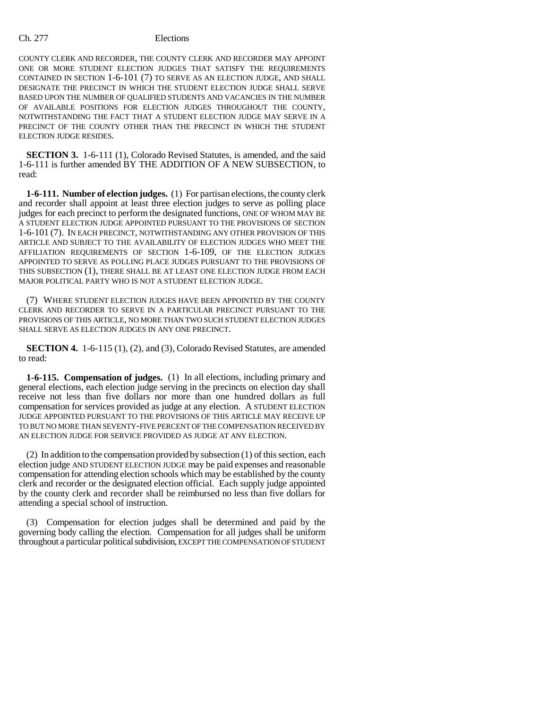## Ch. 277 Elections

COUNTY CLERK AND RECORDER, THE COUNTY CLERK AND RECORDER MAY APPOINT ONE OR MORE STUDENT ELECTION JUDGES THAT SATISFY THE REQUIREMENTS CONTAINED IN SECTION 1-6-101 (7) TO SERVE AS AN ELECTION JUDGE, AND SHALL DESIGNATE THE PRECINCT IN WHICH THE STUDENT ELECTION JUDGE SHALL SERVE BASED UPON THE NUMBER OF QUALIFIED STUDENTS AND VACANCIES IN THE NUMBER OF AVAILABLE POSITIONS FOR ELECTION JUDGES THROUGHOUT THE COUNTY, NOTWITHSTANDING THE FACT THAT A STUDENT ELECTION JUDGE MAY SERVE IN A PRECINCT OF THE COUNTY OTHER THAN THE PRECINCT IN WHICH THE STUDENT ELECTION JUDGE RESIDES.

**SECTION 3.** 1-6-111 (1), Colorado Revised Statutes, is amended, and the said 1-6-111 is further amended BY THE ADDITION OF A NEW SUBSECTION, to read:

**1-6-111. Number of election judges.** (1) For partisan elections, the county clerk and recorder shall appoint at least three election judges to serve as polling place judges for each precinct to perform the designated functions, ONE OF WHOM MAY BE A STUDENT ELECTION JUDGE APPOINTED PURSUANT TO THE PROVISIONS OF SECTION 1-6-101 (7). IN EACH PRECINCT, NOTWITHSTANDING ANY OTHER PROVISION OF THIS ARTICLE AND SUBJECT TO THE AVAILABILITY OF ELECTION JUDGES WHO MEET THE AFFILIATION REQUIREMENTS OF SECTION 1-6-109, OF THE ELECTION JUDGES APPOINTED TO SERVE AS POLLING PLACE JUDGES PURSUANT TO THE PROVISIONS OF THIS SUBSECTION (1), THERE SHALL BE AT LEAST ONE ELECTION JUDGE FROM EACH MAJOR POLITICAL PARTY WHO IS NOT A STUDENT ELECTION JUDGE.

(7) WHERE STUDENT ELECTION JUDGES HAVE BEEN APPOINTED BY THE COUNTY CLERK AND RECORDER TO SERVE IN A PARTICULAR PRECINCT PURSUANT TO THE PROVISIONS OF THIS ARTICLE, NO MORE THAN TWO SUCH STUDENT ELECTION JUDGES SHALL SERVE AS ELECTION JUDGES IN ANY ONE PRECINCT.

**SECTION 4.** 1-6-115 (1), (2), and (3), Colorado Revised Statutes, are amended to read:

**1-6-115. Compensation of judges.** (1) In all elections, including primary and general elections, each election judge serving in the precincts on election day shall receive not less than five dollars nor more than one hundred dollars as full compensation for services provided as judge at any election. A STUDENT ELECTION JUDGE APPOINTED PURSUANT TO THE PROVISIONS OF THIS ARTICLE MAY RECEIVE UP TO BUT NO MORE THAN SEVENTY-FIVE PERCENT OF THE COMPENSATION RECEIVED BY AN ELECTION JUDGE FOR SERVICE PROVIDED AS JUDGE AT ANY ELECTION.

(2) In addition to the compensation provided by subsection (1) of this section, each election judge AND STUDENT ELECTION JUDGE may be paid expenses and reasonable compensation for attending election schools which may be established by the county clerk and recorder or the designated election official. Each supply judge appointed by the county clerk and recorder shall be reimbursed no less than five dollars for attending a special school of instruction.

(3) Compensation for election judges shall be determined and paid by the governing body calling the election. Compensation for all judges shall be uniform throughout a particular political subdivision, EXCEPT THE COMPENSATION OF STUDENT